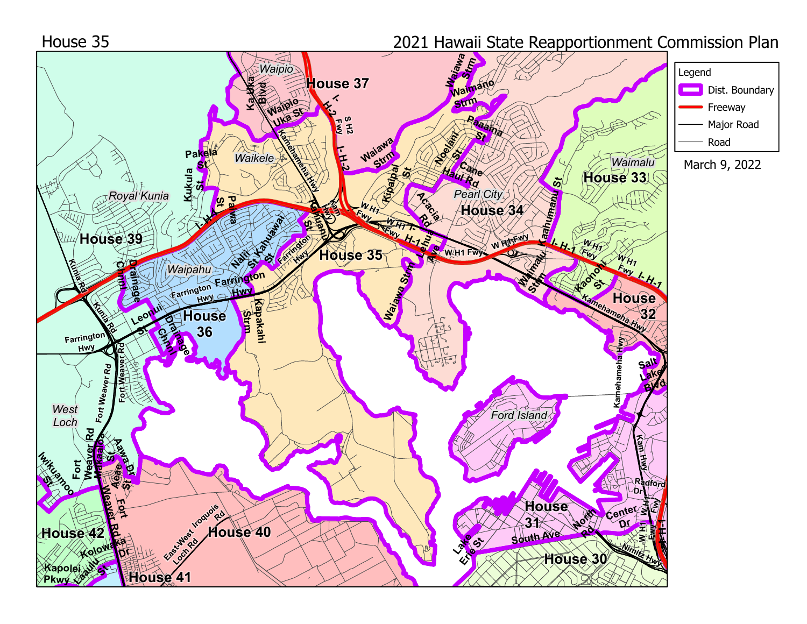